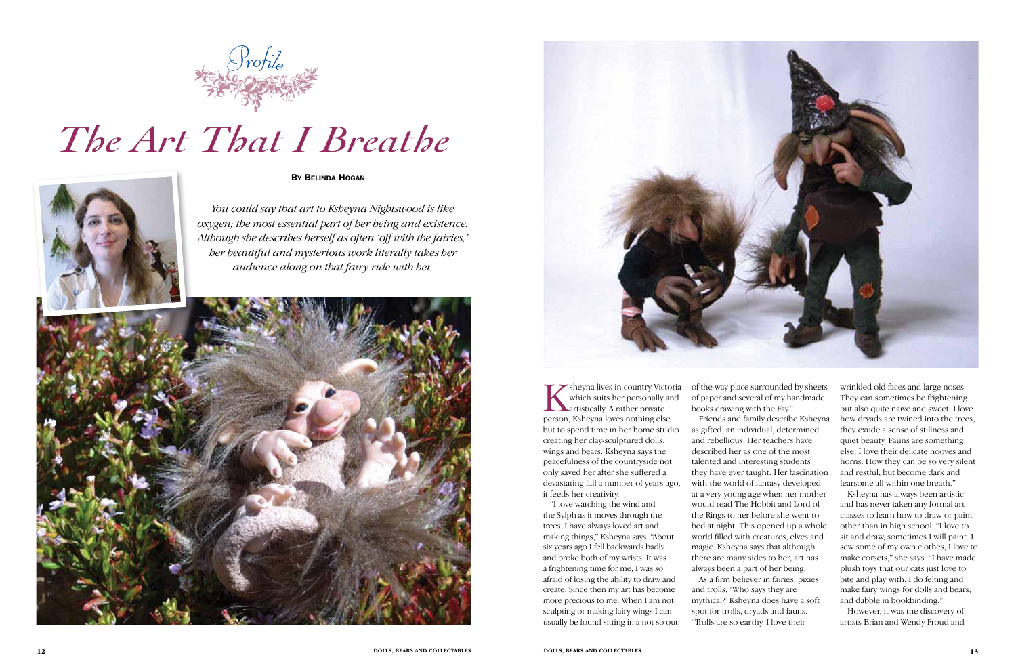Sheyna lives in country Victoria<br>
which suits her personally and<br>
artistically. A rather private<br>
person. Ksheyna loves pothing else which suits her personally and artistically. A rather private person, Ksheyna loves nothing else but to spend time in her home studio creating her clay-sculptured dolls, wings and bears. Ksheyna says the peacefulness of the countryside not only saved her after she suffered a devastating fall a number of years ago, it feeds her creativity.

"I love watching the wind and the Sylph as it moves through the trees. I have always loved art and making things," Ksheyna says. "About six years ago I fell backwards badly and broke both of my wrists. It was a frightening time for me, I was so afraid of losing the ability to draw and create. Since then my art has become more precious to me. When I am not sculpting or making fairy wings I can usually be found sitting in a not so outof-the-way place surrounded by sheets of paper and several of my handmade books drawing with the Fay."

Friends and family describe Ksheyna

as gifted, an individual, determined and rebellious. Her teachers have described her as one of the most talented and interesting students they have ever taught. Her fascination with the world of fantasy developed at a very young age when her mother would read The Hobbit and Lord of the Rings to her before she went to bed at night. This opened up a whole world filled with creatures, elves and magic. Ksheyna says that although there are many sides to her, art has always been a part of her being. As a firm believer in fairies, pixies and trolls, 'Who says they are mythical?' Ksheyna does have a soft spot for trolls, dryads and fauns. "Trolls are so earthy. I love their

wrinkled old faces and large noses. They can sometimes be frightening but also quite naive and sweet. I love how dryads are twined into the trees, they exude a sense of stillness and quiet beauty. Fauns are something else, I love their delicate hooves and horns. How they can be so very silent and restful, but become dark and fearsome all within one breath."

Ksheyna has always been artistic and has never taken any formal art classes to learn how to draw or paint other than in high school. "I love to sit and draw, sometimes I will paint. I sew some of my own clothes, I love to make corsets," she says. "I have made plush toys that our cats just love to bite and play with. I do felting and make fairy wings for dolls and bears, and dabble in bookbinding."

However, it was the discovery of artists Brian and Wendy Froud and



## *The Art That I Breathe*

*You could say that art to Ksheyna Nightswood is like oxygen; the most essential part of her being and existence. Although she describes herself as often 'off with the fairies,' her beautiful and mysterious work literally takes her audience along on that fairy ride with her.*